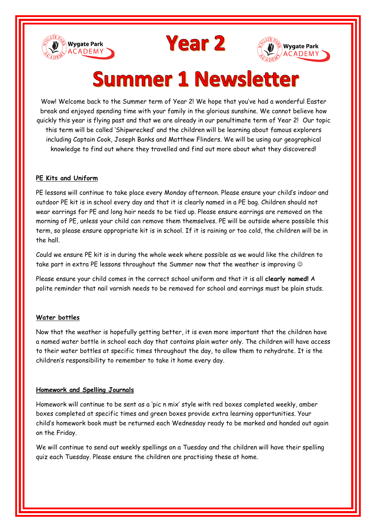





# **Summer 1 Newsletter**

Wow! Welcome back to the Summer term of Year 2! We hope that you've had a wonderful Easter break and enjoyed spending time with your family in the glorious sunshine. We cannot believe how quickly this year is flying past and that we are already in our penultimate term of Year 2! Our topic this term will be called 'Shipwrecked' and the children will be learning about famous explorers including Captain Cook, Joseph Banks and Matthew Flinders. We will be using our geographical knowledge to find out where they travelled and find out more about what they discovered!

# **PE Kits and Uniform**

PE lessons will continue to take place every Monday afternoon. Please ensure your child's indoor and outdoor PE kit is in school every day and that it is clearly named in a PE bag. Children should not wear earrings for PE and long hair needs to be tied up. Please ensure earrings are removed on the morning of PE, unless your child can remove them themselves. PE will be outside where possible this term, so please ensure appropriate kit is in school. If it is raining or too cold, the children will be in the hall.

Could we ensure PE kit is in during the whole week where possible as we would like the children to take part in extra PE lessons throughout the Summer now that the weather is improving  $\circledcirc$ 

Please ensure your child comes in the correct school uniform and that it is all **clearly named!** A polite reminder that nail varnish needs to be removed for school and earrings must be plain studs.

# **Water bottles**

Now that the weather is hopefully getting better, it is even more important that the children have a named water bottle in school each day that contains plain water only. The children will have access to their water bottles at specific times throughout the day, to allow them to rehydrate. It is the children's responsibility to remember to take it home every day.

# **Homework and Spelling Journals**

Homework will continue to be sent as a 'pic n mix' style with red boxes completed weekly, amber boxes completed at specific times and green boxes provide extra learning opportunities. Your child's homework book must be returned each Wednesday ready to be marked and handed out again on the Friday.

We will continue to send out weekly spellings on a Tuesday and the children will have their spelling quiz each Tuesday. Please ensure the children are practising these at home.